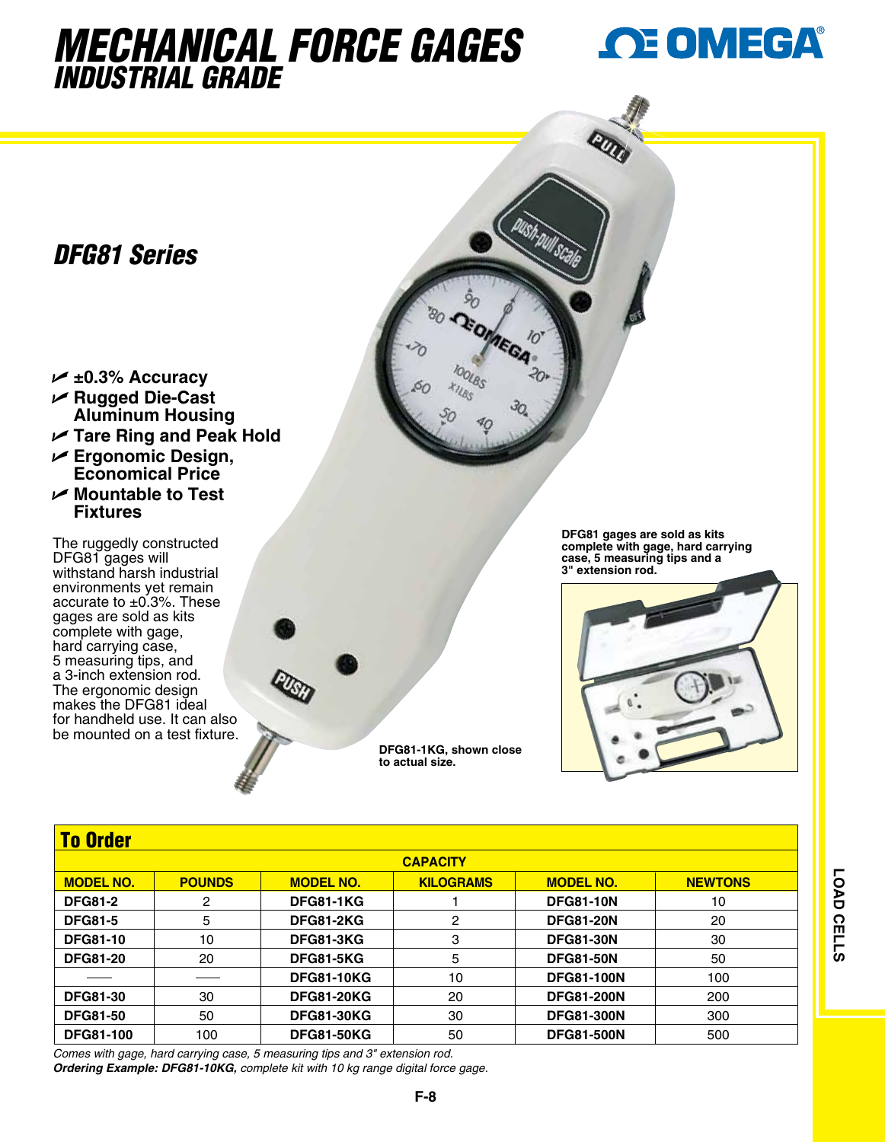## *mechanical Force gages INDUSTRIAL GRADE*



## *DFG81 Series*

- U **±0.3% Accuracy**  U **Rugged Die-Cast Aluminum Housing**
- U **Tare Ring and Peak Hold**
- U **Ergonomic Design, Economical Price**
- U **Mountable to Test Fixtures**

The ruggedly constructed DFG81 gages will withstand harsh industrial environments yet remain accurate to ±0.3%. These gages are sold as kits complete with gage, hard carrying case, 5 measuring tips, and a 3-inch extension rod. The ergonomic design makes the DFG81 ideal for handheld use. It can also be mounted on a test fixture.



**DFG81 gages are sold as kits complete with gage, hard carrying case, 5 measuring tips and a 3" extension rod.**



| <b>To Order</b>  |               |                   |                  |                   |                |  |  |  |  |
|------------------|---------------|-------------------|------------------|-------------------|----------------|--|--|--|--|
| <b>CAPACITY</b>  |               |                   |                  |                   |                |  |  |  |  |
| <b>MODEL NO.</b> | <b>POUNDS</b> | <b>MODEL NO.</b>  | <b>KILOGRAMS</b> | <b>MODEL NO.</b>  | <b>NEWTONS</b> |  |  |  |  |
| <b>DFG81-2</b>   | 2             | <b>DFG81-1KG</b>  |                  | <b>DFG81-10N</b>  | 10             |  |  |  |  |
| <b>DFG81-5</b>   | 5             | <b>DFG81-2KG</b>  | 2                | <b>DFG81-20N</b>  | 20             |  |  |  |  |
| <b>DFG81-10</b>  | 10            | <b>DFG81-3KG</b>  | 3                | <b>DFG81-30N</b>  | 30             |  |  |  |  |
| <b>DFG81-20</b>  | 20            | <b>DFG81-5KG</b>  | 5                | <b>DFG81-50N</b>  | 50             |  |  |  |  |
|                  |               | <b>DFG81-10KG</b> | 10               | <b>DFG81-100N</b> | 100            |  |  |  |  |
| <b>DFG81-30</b>  | 30            | <b>DFG81-20KG</b> | 20               | <b>DFG81-200N</b> | 200            |  |  |  |  |
| <b>DFG81-50</b>  | 50            | <b>DFG81-30KG</b> | 30               | <b>DFG81-300N</b> | 300            |  |  |  |  |
| <b>DFG81-100</b> | 100           | <b>DFG81-50KG</b> | 50               | <b>DFG81-500N</b> | 500            |  |  |  |  |

**DFG81-1KG, shown close** 

**to actual size.**

*Comes with gage, hard carrying case, 5 measuring tips and 3" extension rod.*

*Ordering Example: DFG81-10KG, complete kit with 10 kg range digital force gage.*